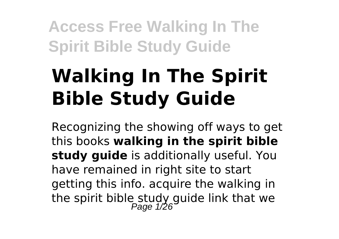# **Walking In The Spirit Bible Study Guide**

Recognizing the showing off ways to get this books **walking in the spirit bible study guide** is additionally useful. You have remained in right site to start getting this info. acquire the walking in the spirit bible study guide link that we<br>Page 1/26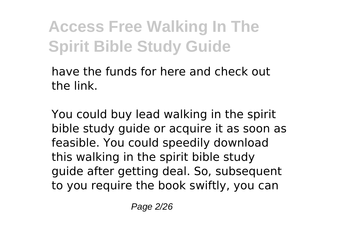have the funds for here and check out the link.

You could buy lead walking in the spirit bible study guide or acquire it as soon as feasible. You could speedily download this walking in the spirit bible study guide after getting deal. So, subsequent to you require the book swiftly, you can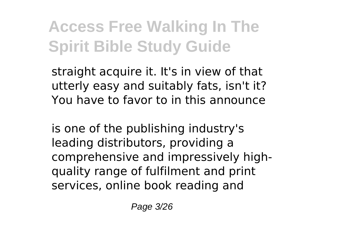straight acquire it. It's in view of that utterly easy and suitably fats, isn't it? You have to favor to in this announce

is one of the publishing industry's leading distributors, providing a comprehensive and impressively highquality range of fulfilment and print services, online book reading and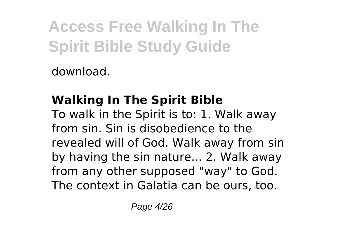download.

### **Walking In The Spirit Bible**

To walk in the Spirit is to: 1. Walk away from sin. Sin is disobedience to the revealed will of God. Walk away from sin by having the sin nature... 2. Walk away from any other supposed "way" to God. The context in Galatia can be ours, too.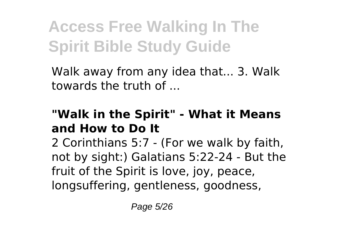Walk away from any idea that... 3. Walk towards the truth of

#### **"Walk in the Spirit" - What it Means and How to Do It**

2 Corinthians 5:7 - (For we walk by faith, not by sight:) Galatians 5:22-24 - But the fruit of the Spirit is love, joy, peace, longsuffering, gentleness, goodness,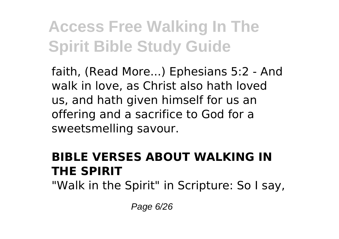faith, (Read More...) Ephesians 5:2 - And walk in love, as Christ also hath loved us, and hath given himself for us an offering and a sacrifice to God for a sweetsmelling savour.

#### **BIBLE VERSES ABOUT WALKING IN THE SPIRIT**

"Walk in the Spirit" in Scripture: So I say,

Page 6/26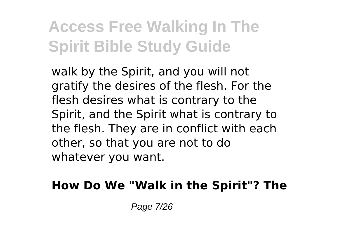walk by the Spirit, and you will not gratify the desires of the flesh. For the flesh desires what is contrary to the Spirit, and the Spirit what is contrary to the flesh. They are in conflict with each other, so that you are not to do whatever you want.

#### **How Do We "Walk in the Spirit"? The**

Page 7/26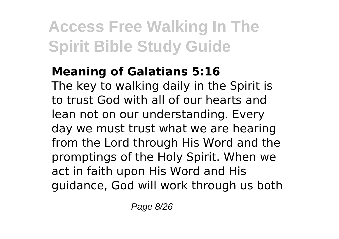### **Meaning of Galatians 5:16**

The key to walking daily in the Spirit is to trust God with all of our hearts and lean not on our understanding. Every day we must trust what we are hearing from the Lord through His Word and the promptings of the Holy Spirit. When we act in faith upon His Word and His guidance, God will work through us both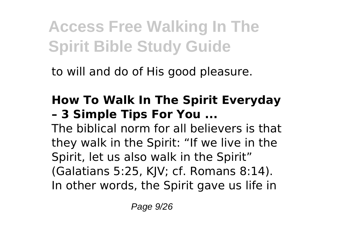to will and do of His good pleasure.

#### **How To Walk In The Spirit Everyday – 3 Simple Tips For You ...**

The biblical norm for all believers is that they walk in the Spirit: "If we live in the Spirit, let us also walk in the Spirit" (Galatians 5:25, KJV; cf. Romans 8:14). In other words, the Spirit gave us life in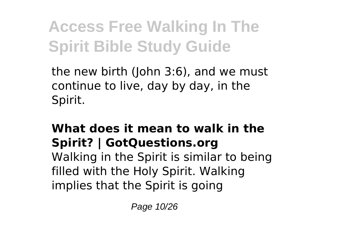the new birth (John 3:6), and we must continue to live, day by day, in the Spirit.

### **What does it mean to walk in the Spirit? | GotQuestions.org**

Walking in the Spirit is similar to being filled with the Holy Spirit. Walking implies that the Spirit is going

Page 10/26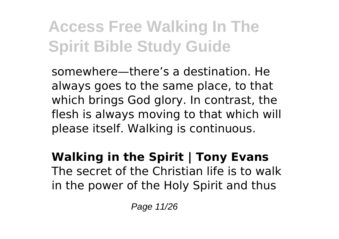somewhere—there's a destination. He always goes to the same place, to that which brings God glory. In contrast, the flesh is always moving to that which will please itself. Walking is continuous.

**Walking in the Spirit | Tony Evans** The secret of the Christian life is to walk in the power of the Holy Spirit and thus

Page 11/26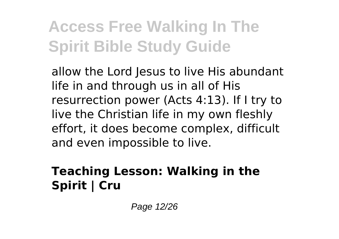allow the Lord Jesus to live His abundant life in and through us in all of His resurrection power (Acts 4:13). If I try to live the Christian life in my own fleshly effort, it does become complex, difficult and even impossible to live.

### **Teaching Lesson: Walking in the Spirit | Cru**

Page 12/26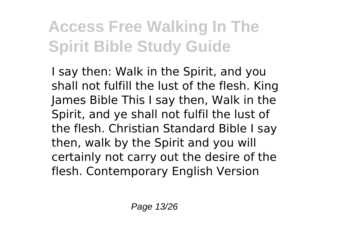I say then: Walk in the Spirit, and you shall not fulfill the lust of the flesh. King James Bible This I say then, Walk in the Spirit, and ye shall not fulfil the lust of the flesh. Christian Standard Bible I say then, walk by the Spirit and you will certainly not carry out the desire of the flesh. Contemporary English Version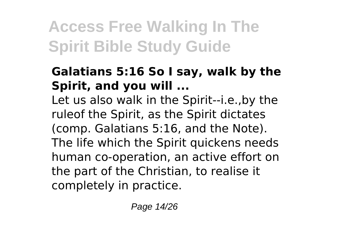#### **Galatians 5:16 So I say, walk by the Spirit, and you will ...**

Let us also walk in the Spirit--i.e.,by the ruleof the Spirit, as the Spirit dictates (comp. Galatians 5:16, and the Note). The life which the Spirit quickens needs human co-operation, an active effort on the part of the Christian, to realise it completely in practice.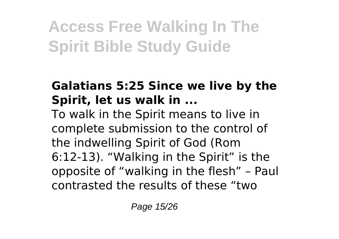### **Galatians 5:25 Since we live by the Spirit, let us walk in ...**

To walk in the Spirit means to live in complete submission to the control of the indwelling Spirit of God (Rom 6:12-13). "Walking in the Spirit" is the opposite of "walking in the flesh" – Paul contrasted the results of these "two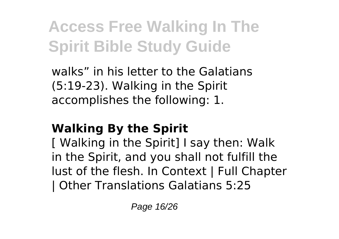walks" in his letter to the Galatians (5:19-23). Walking in the Spirit accomplishes the following: 1.

### **Walking By the Spirit**

[ Walking in the Spirit] I say then: Walk in the Spirit, and you shall not fulfill the lust of the flesh. In Context | Full Chapter | Other Translations Galatians 5:25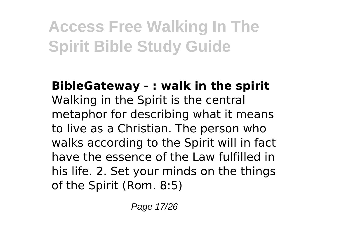**BibleGateway - : walk in the spirit** Walking in the Spirit is the central metaphor for describing what it means to live as a Christian. The person who walks according to the Spirit will in fact have the essence of the Law fulfilled in his life. 2. Set your minds on the things of the Spirit (Rom. 8:5)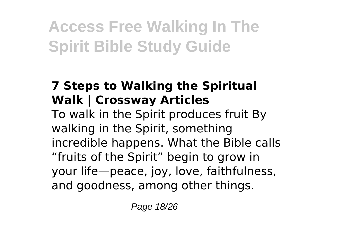### **7 Steps to Walking the Spiritual Walk | Crossway Articles**

To walk in the Spirit produces fruit By walking in the Spirit, something incredible happens. What the Bible calls "fruits of the Spirit" begin to grow in your life—peace, joy, love, faithfulness, and goodness, among other things.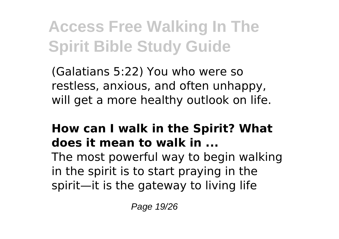(Galatians 5:22) You who were so restless, anxious, and often unhappy, will get a more healthy outlook on life.

### **How can I walk in the Spirit? What does it mean to walk in ...**

The most powerful way to begin walking in the spirit is to start praying in the spirit—it is the gateway to living life

Page 19/26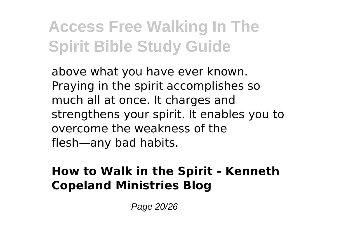above what you have ever known. Praying in the spirit accomplishes so much all at once. It charges and strengthens your spirit. It enables you to overcome the weakness of the flesh—any bad habits.

#### **How to Walk in the Spirit - Kenneth Copeland Ministries Blog**

Page 20/26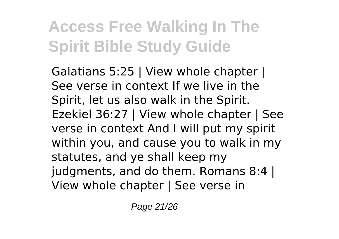Galatians 5:25 | View whole chapter | See verse in context If we live in the Spirit, let us also walk in the Spirit. Ezekiel 36:27 | View whole chapter | See verse in context And I will put my spirit within you, and cause you to walk in my statutes, and ye shall keep my judgments, and do them. Romans 8:4 | View whole chapter | See verse in

Page 21/26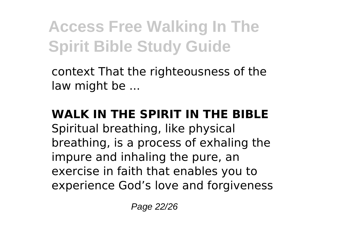context That the righteousness of the law might be ...

### **WALK IN THE SPIRIT IN THE BIBLE**

Spiritual breathing, like physical breathing, is a process of exhaling the impure and inhaling the pure, an exercise in faith that enables you to experience God's love and forgiveness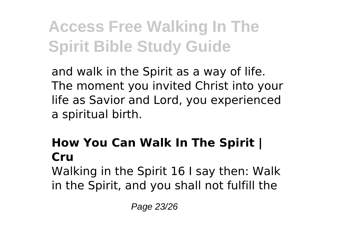and walk in the Spirit as a way of life. The moment you invited Christ into your life as Savior and Lord, you experienced a spiritual birth.

### **How You Can Walk In The Spirit | Cru**

Walking in the Spirit 16 I say then: Walk in the Spirit, and you shall not fulfill the

Page 23/26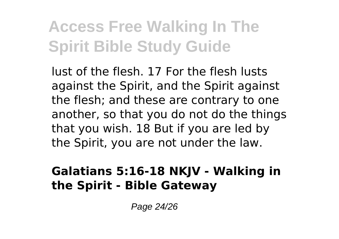lust of the flesh. 17 For the flesh lusts against the Spirit, and the Spirit against the flesh; and these are contrary to one another, so that you do not do the things that you wish. 18 But if you are led by the Spirit, you are not under the law.

#### **Galatians 5:16-18 NKJV - Walking in the Spirit - Bible Gateway**

Page 24/26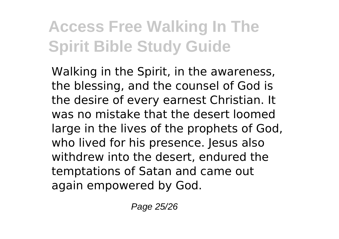Walking in the Spirit, in the awareness, the blessing, and the counsel of God is the desire of every earnest Christian. It was no mistake that the desert loomed large in the lives of the prophets of God, who lived for his presence. Jesus also withdrew into the desert, endured the temptations of Satan and came out again empowered by God.